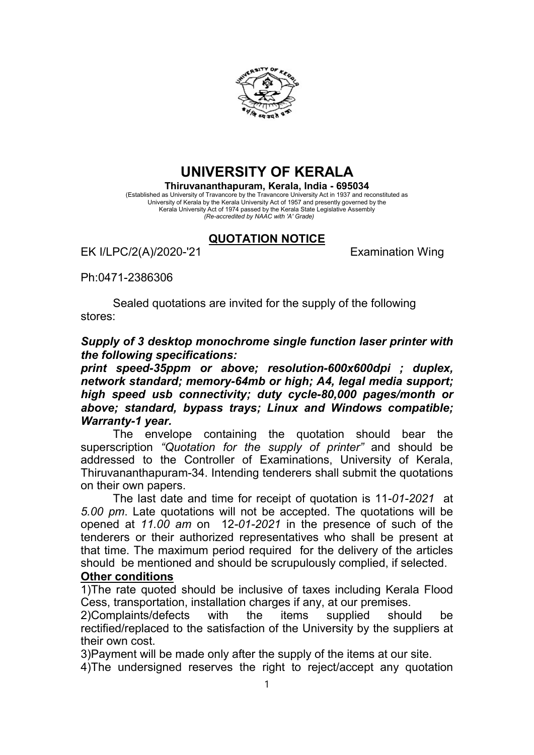

## UNIVERSITY OF KERALA

Thiruvananthapuram, Kerala, India - 695034 (Established as University of Travancore by the Travancore University Act in 1937 and reconstituted as University of Kerala by the Kerala University Act of 1957 and presently governed by the Kerala University Act of 1974 passed by the Kerala State Legislative Assembly (Re-accredited by NAAC with 'A' Grade)

## QUOTATION NOTICE

EK I/LPC/2(A)/2020-'21 Examination Wing

## Ph:0471-2386306

Sealed quotations are invited for the supply of the following stores:

Supply of 3 desktop monochrome single function laser printer with the following specifications:

print speed-35ppm or above; resolution-600x600dpi ; duplex, network standard; memory-64mb or high; A4, legal media support; high speed usb connectivity; duty cycle-80,000 pages/month or above; standard, bypass trays; Linux and Windows compatible; Warranty-1 year.

The envelope containing the quotation should bear the superscription "Quotation for the supply of printer" and should be addressed to the Controller of Examinations, University of Kerala, Thiruvananthapuram-34. Intending tenderers shall submit the quotations on their own papers.

The last date and time for receipt of quotation is 11-01-2021 at 5.00 pm. Late quotations will not be accepted. The quotations will be opened at 11.00 am on 12-01-2021 in the presence of such of the tenderers or their authorized representatives who shall be present at that time. The maximum period required for the delivery of the articles should be mentioned and should be scrupulously complied, if selected.

## Other conditions

1)The rate quoted should be inclusive of taxes including Kerala Flood Cess, transportation, installation charges if any, at our premises.

2)Complaints/defects with the items supplied should be rectified/replaced to the satisfaction of the University by the suppliers at their own cost.

3)Payment will be made only after the supply of the items at our site.

4)The undersigned reserves the right to reject/accept any quotation